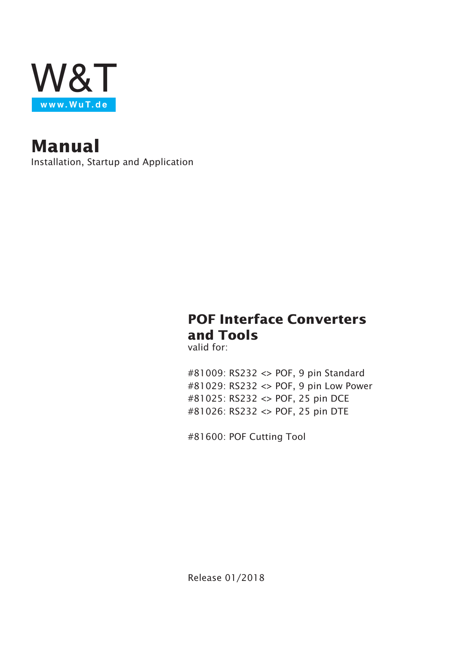

**Manual**

Installation, Startup and Application

# **POF Interface Converters and Tools**

valid for:

#81009: RS232 <> POF, 9 pin Standard #81029: RS232 <> POF, 9 pin Low Power #81025: RS232 <> POF, 25 pin DCE #81026: RS232 <> POF, 25 pin DTE

#81600: POF Cutting Tool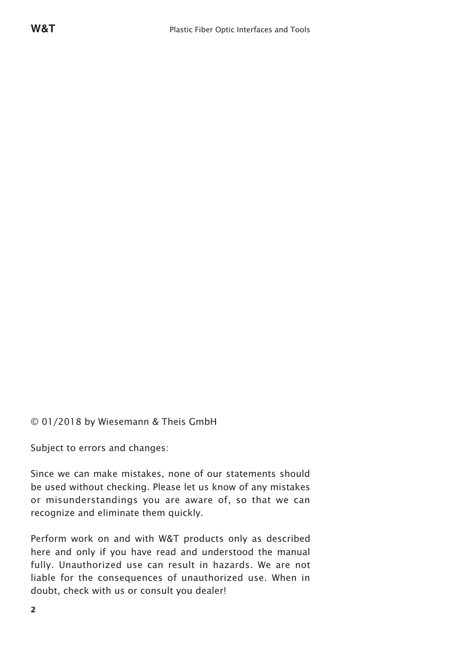© 01/2018 by Wiesemann & Theis GmbH

Subject to errors and changes:

Since we can make mistakes, none of our statements should be used without checking. Please let us know of any mistakes or misunderstandings you are aware of, so that we can recognize and eliminate them quickly.

Perform work on and with W&T products only as described here and only if you have read and understood the manual fully. Unauthorized use can result in hazards. We are not liable for the consequences of unauthorized use. When in doubt, check with us or consult you dealer!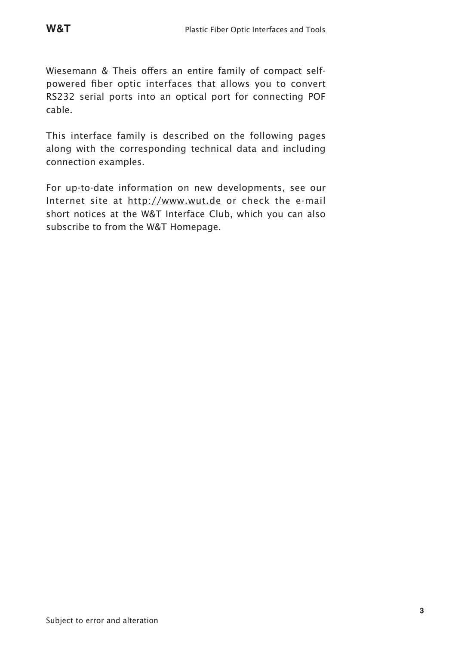Wiesemann & Theis offers an entire family of compact self-

powered fiber optic interfaces that allows you to convert RS232 serial ports into an optical port for connecting POF cable.

This interface family is described on the following pages along with the corresponding technical data and including connection examples.

For up-to-date information on new developments, see our Internet site at http://www.wut.de or check the e-mail short notices at the W&T Interface Club, which you can also subscribe to from the W&T Homepage.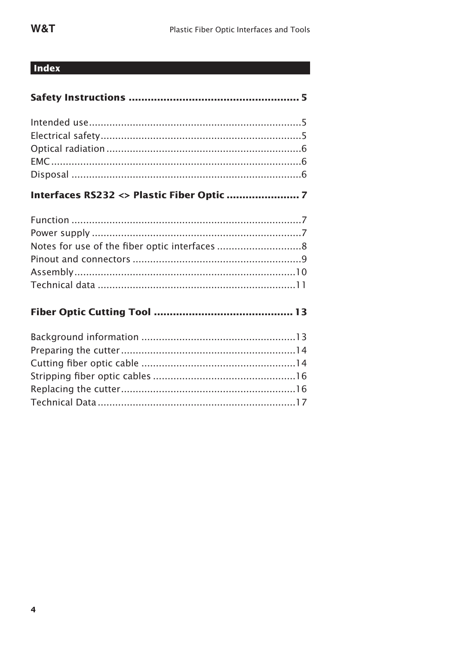# Index

| Interfaces RS232 <> Plastic Fiber Optic  7 |  |
|--------------------------------------------|--|
|                                            |  |
|                                            |  |
|                                            |  |
|                                            |  |
|                                            |  |
|                                            |  |
|                                            |  |
|                                            |  |
|                                            |  |
|                                            |  |
|                                            |  |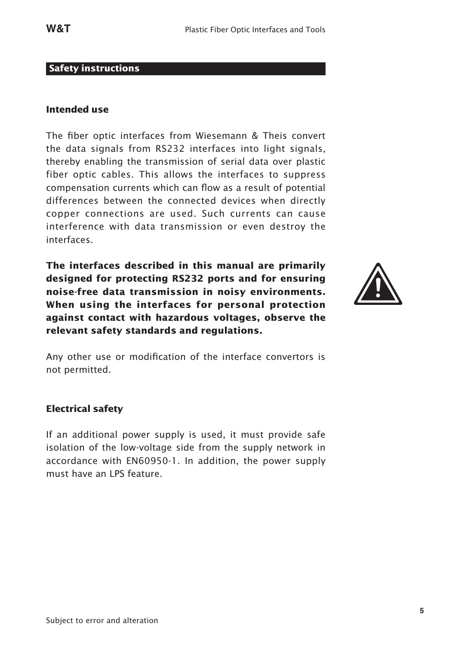#### **Safety instructions**

#### **Intended use**

The fiber optic interfaces from Wiesemann & Theis convert the data signals from RS232 interfaces into light signals, thereby enabling the transmission of serial data over plastic fiber optic cables. This allows the interfaces to suppress compensation currents which can flow as a result of potential differences between the connected devices when directly copper connections are used. Such currents can cause interference with data transmission or even destroy the interfaces.

**The interfaces described in this manual are primarily designed for protecting RS232 ports and for ensuring noise-free data transmission in noisy environments. When using the interfaces for personal protection against contact with hazardous voltages, observe the relevant safety standards and regulations.**



Any other use or modification of the interface convertors is not permitted.

#### **Electrical safety**

If an additional power supply is used, it must provide safe isolation of the low-voltage side from the supply network in accordance with EN60950-1. In addition, the power supply must have an LPS feature.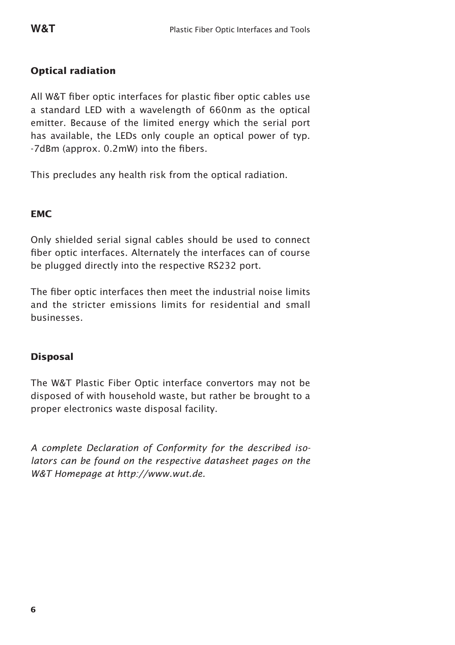#### **Optical radiation**

All W&T fiber optic interfaces for plastic fiber optic cables use a standard LED with a wavelength of 660nm as the optical emitter. Because of the limited energy which the serial port has available, the LEDs only couple an optical power of typ. -7dBm (approx. 0.2mW) into the fibers.

This precludes any health risk from the optical radiation.

#### **EMC**

Only shielded serial signal cables should be used to connect fiber optic interfaces. Alternately the interfaces can of course be plugged directly into the respective RS232 port.

The fiber optic interfaces then meet the industrial noise limits and the stricter emissions limits for residential and small businesses.

#### **Disposal**

The W&T Plastic Fiber Optic interface convertors may not be disposed of with household waste, but rather be brought to a proper electronics waste disposal facility.

*A complete Declaration of Conformity for the described isolators can be found on the respective datasheet pages on the W&T Homepage at http://www.wut.de.*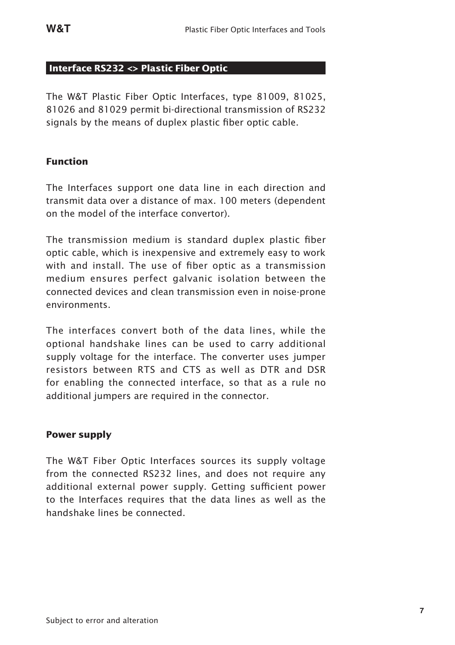#### **Interface RS232 <> Plastic Fiber Optic**

The W&T Plastic Fiber Optic Interfaces, type 81009, 81025, 81026 and 81029 permit bi-directional transmission of RS232 signals by the means of duplex plastic fiber optic cable.

#### **Function**

The Interfaces support one data line in each direction and transmit data over a distance of max. 100 meters (dependent on the model of the interface convertor).

The transmission medium is standard duplex plastic fiber optic cable, which is inexpensive and extremely easy to work with and install. The use of fiber optic as a transmission medium ensures perfect galvanic isolation between the connected devices and clean transmission even in noise-prone environments.

The interfaces convert both of the data lines, while the optional handshake lines can be used to carry additional supply voltage for the interface. The converter uses jumper resistors between RTS and CTS as well as DTR and DSR for enabling the connected interface, so that as a rule no additional jumpers are required in the connector.

#### **Power supply**

The W&T Fiber Optic Interfaces sources its supply voltage from the connected RS232 lines, and does not require any additional external power supply. Getting sufficient power to the Interfaces requires that the data lines as well as the handshake lines be connected.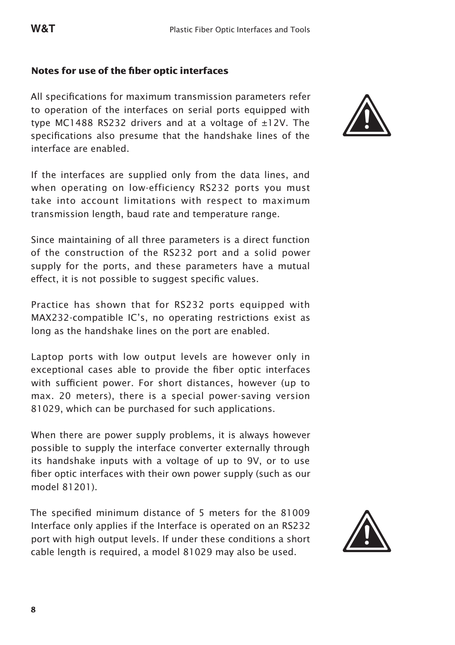#### **Notes for use of the fiber optic interfaces**

All specifications for maximum transmission parameters refer to operation of the interfaces on serial ports equipped with type MC1488 RS232 drivers and at a voltage of ±12V. The specifications also presume that the handshake lines of the interface are enabled.

If the interfaces are supplied only from the data lines, and when operating on low-efficiency RS232 ports you must take into account limitations with respect to maximum transmission length, baud rate and temperature range.

Since maintaining of all three parameters is a direct function of the construction of the RS232 port and a solid power supply for the ports, and these parameters have a mutual effect, it is not possible to suggest specific values.

Practice has shown that for RS232 ports equipped with MAX232-compatible IC's, no operating restrictions exist as long as the handshake lines on the port are enabled.

Laptop ports with low output levels are however only in exceptional cases able to provide the fiber optic interfaces with sufficient power. For short distances, however (up to max. 20 meters), there is a special power-saving version 81029, which can be purchased for such applications.

When there are power supply problems, it is always however possible to supply the interface converter externally through its handshake inputs with a voltage of up to 9V, or to use fiber optic interfaces with their own power supply (such as our model 81201).

The specified minimum distance of 5 meters for the 81009 Interface only applies if the Interface is operated on an RS232 port with high output levels. If under these conditions a short cable length is required, a model 81029 may also be used.



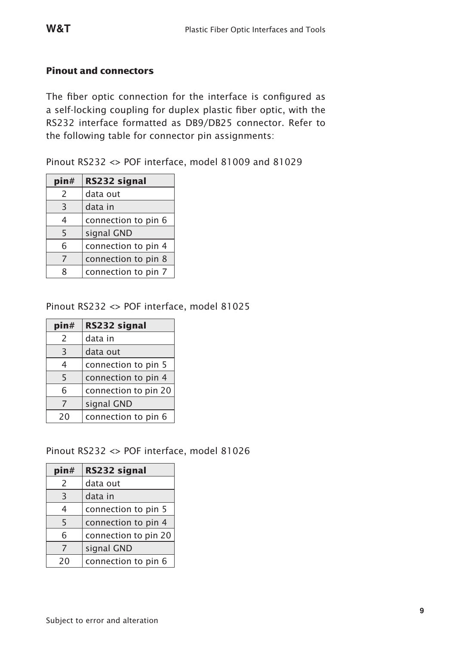#### **Pinout and connectors**

The fiber optic connection for the interface is configured as a self-locking coupling for duplex plastic fiber optic, with the RS232 interface formatted as DB9/DB25 connector. Refer to the following table for connector pin assignments:

Pinout RS232 <> POF interface, model 81009 and 81029

| pin#                     | RS232 signal        |
|--------------------------|---------------------|
| $\mathcal{P}$            | data out            |
| 3                        | data in             |
| 4                        | connection to pin 6 |
| 5                        | signal GND          |
| 6                        | connection to pin 4 |
| $\overline{\phantom{a}}$ | connection to pin 8 |
| R                        | connection to pin 7 |

#### Pinout RS232 <> POF interface, model 81025

| pin#           | RS232 signal         |
|----------------|----------------------|
| $\overline{c}$ | data in              |
| 3              | data out             |
| 4              | connection to pin 5  |
| 5              | connection to pin 4  |
| 6              | connection to pin 20 |
| 7              | signal GND           |
| 20             | connection to pin 6  |

Pinout RS232 <> POF interface, model 81026

| pin#           | RS232 signal         |
|----------------|----------------------|
| $\mathcal{P}$  | data out             |
| $\overline{3}$ | data in              |
| 4              | connection to pin 5  |
| 5              | connection to pin 4  |
| 6              | connection to pin 20 |
| 7              | signal GND           |
| 20             | connection to pin 6  |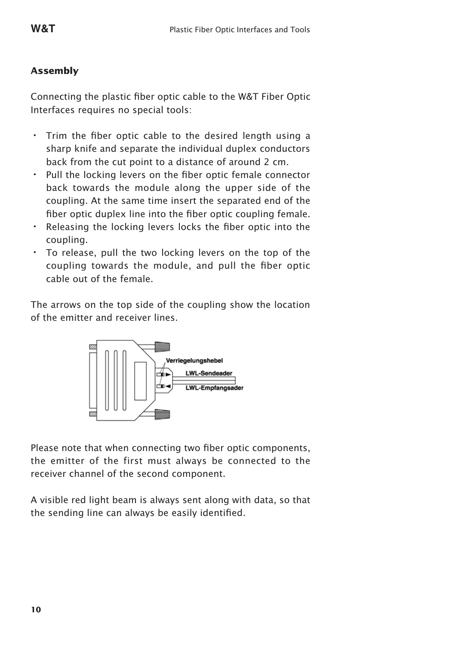### **Assembly**

Connecting the plastic fiber optic cable to the W&T Fiber Optic Interfaces requires no special tools:

- Trim the fiber optic cable to the desired length using a sharp knife and separate the individual duplex conductors back from the cut point to a distance of around 2 cm.
- Pull the locking levers on the fiber optic female connector back towards the module along the upper side of the coupling. At the same time insert the separated end of the fiber optic duplex line into the fiber optic coupling female.
- Releasing the locking levers locks the fiber optic into the coupling.
- To release, pull the two locking levers on the top of the coupling towards the module, and pull the fiber optic cable out of the female.

The arrows on the top side of the coupling show the location of the emitter and receiver lines.



Please note that when connecting two fiber optic components, the emitter of the first must always be connected to the receiver channel of the second component.

A visible red light beam is always sent along with data, so that the sending line can always be easily identified.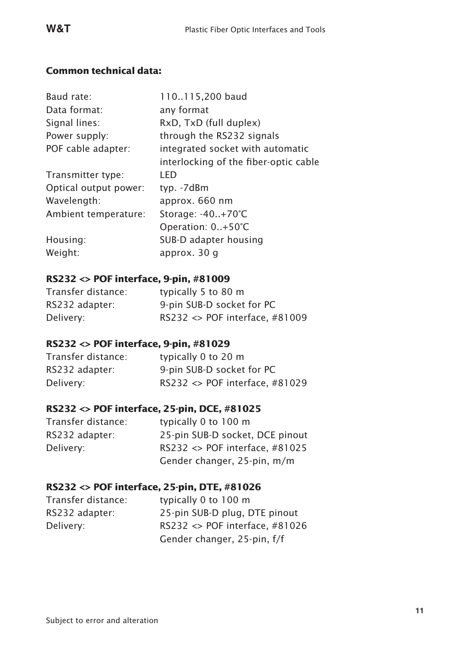#### **Common technical data:**

| Baud rate:            | 110115,200 baud                       |
|-----------------------|---------------------------------------|
| Data format:          | any format                            |
| Signal lines:         | RxD, TxD (full duplex)                |
| Power supply:         | through the RS232 signals             |
| POF cable adapter:    | integrated socket with automatic      |
|                       | interlocking of the fiber-optic cable |
| Transmitter type:     | I FD                                  |
| Optical output power: | typ. -7dBm                            |
| Wavelength:           | approx. 660 nm                        |
| Ambient temperature:  | Storage: -40+70°C                     |
|                       | Operation: 0+50°C                     |
| Housing:              | SUB-D adapter housing                 |
| Weight:               | approx. 30 q                          |

### **RS232 <> POF interface, 9-pin, #81009**

| Transfer distance: | typically 5 to 80 m                     |
|--------------------|-----------------------------------------|
| RS232 adapter:     | 9-pin SUB-D socket for PC               |
| Delivery:          | RS232 $\langle$ > POF interface, #81009 |

### **RS232 <> POF interface, 9-pin, #81029**

| Transfer distance: | typically 0 to 20 m                           |
|--------------------|-----------------------------------------------|
| RS232 adapter:     | 9-pin SUB-D socket for PC                     |
| Delivery:          | RS232 $\leftrightarrow$ POF interface, #81029 |

# **RS232 <> POF interface, 25-pin, DCE, #81025**

| Transfer distance: | typically 0 to 100 m                    |
|--------------------|-----------------------------------------|
| RS232 adapter:     | 25-pin SUB-D socket, DCE pinout         |
| Delivery:          | RS232 $\langle$ > POF interface, #81025 |
|                    | Gender changer, 25-pin, m/m             |
|                    |                                         |

# **RS232 <> POF interface, 25-pin, DTE, #81026**

| Transfer distance: | typically 0 to 100 m           |
|--------------------|--------------------------------|
| RS232 adapter:     | 25-pin SUB-D plug, DTE pinout  |
| Delivery:          | RS232 <> POF interface, #81026 |
|                    | Gender changer, 25-pin, f/f    |
|                    |                                |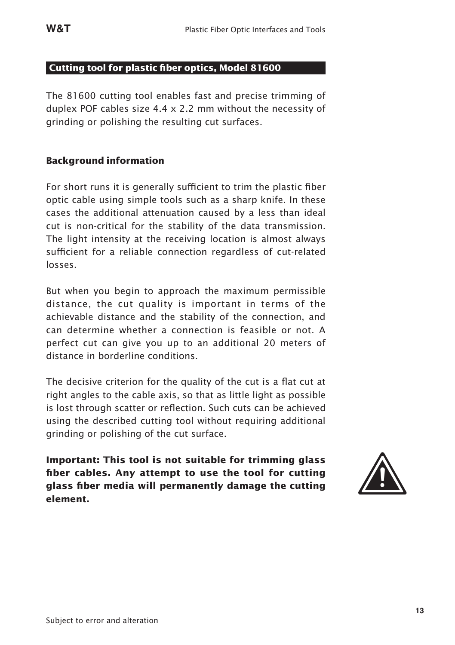#### **Cutting tool for plastic fiber optics, Model 81600**

The 81600 cutting tool enables fast and precise trimming of duplex POF cables size 4.4 x 2.2 mm without the necessity of grinding or polishing the resulting cut surfaces.

#### **Background information**

For short runs it is generally sufficient to trim the plastic fiber optic cable using simple tools such as a sharp knife. In these cases the additional attenuation caused by a less than ideal cut is non-critical for the stability of the data transmission. The light intensity at the receiving location is almost always sufficient for a reliable connection regardless of cut-related losses.

But when you begin to approach the maximum permissible distance, the cut quality is important in terms of the achievable distance and the stability of the connection, and can determine whether a connection is feasible or not. A perfect cut can give you up to an additional 20 meters of distance in borderline conditions.

The decisive criterion for the quality of the cut is a flat cut at right angles to the cable axis, so that as little light as possible is lost through scatter or reflection. Such cuts can be achieved using the described cutting tool without requiring additional grinding or polishing of the cut surface.

**Important: This tool is not suitable for trimming glass fiber cables. Any attempt to use the tool for cutting glass fiber media will permanently damage the cutting element.**

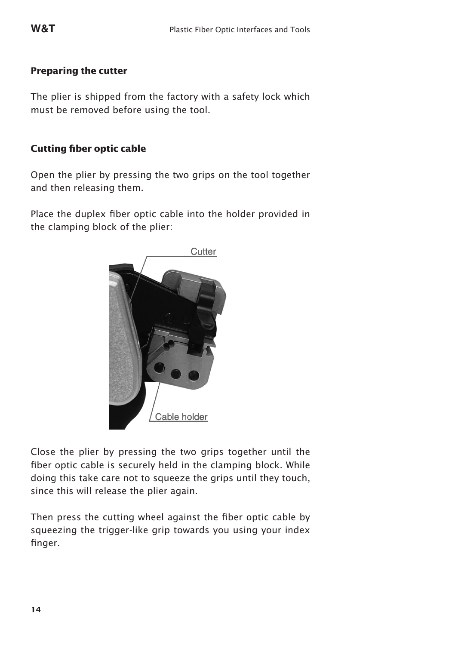#### **Preparing the cutter**

The plier is shipped from the factory with a safety lock which must be removed before using the tool.

#### **Cutting fiber optic cable**

Open the plier by pressing the two grips on the tool together and then releasing them.

Place the duplex fiber optic cable into the holder provided in the clamping block of the plier:



Close the plier by pressing the two grips together until the fiber optic cable is securely held in the clamping block. While doing this take care not to squeeze the grips until they touch, since this will release the plier again.

Then press the cutting wheel against the fiber optic cable by squeezing the trigger-like grip towards you using your index finger.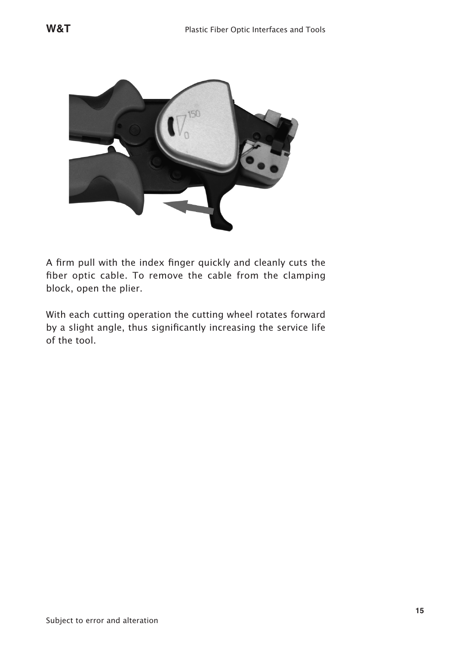

A firm pull with the index finger quickly and cleanly cuts the fiber optic cable. To remove the cable from the clamping block, open the plier.

With each cutting operation the cutting wheel rotates forward by a slight angle, thus significantly increasing the service life of the tool.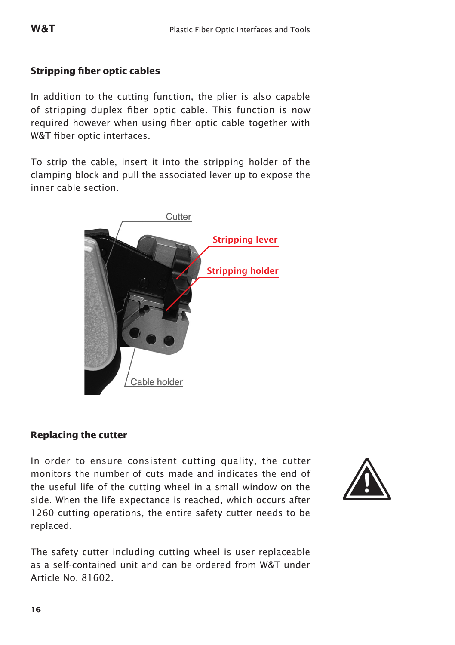## **Stripping fiber optic cables**

In addition to the cutting function, the plier is also capable of stripping duplex fiber optic cable. This function is now required however when using fiber optic cable together with W&T fiber optic interfaces.

To strip the cable, insert it into the stripping holder of the clamping block and pull the associated lever up to expose the inner cable section.



#### **Replacing the cutter**

In order to ensure consistent cutting quality, the cutter monitors the number of cuts made and indicates the end of the useful life of the cutting wheel in a small window on the side. When the life expectance is reached, which occurs after 1260 cutting operations, the entire safety cutter needs to be replaced.



The safety cutter including cutting wheel is user replaceable as a self-contained unit and can be ordered from W&T under Article No. 81602.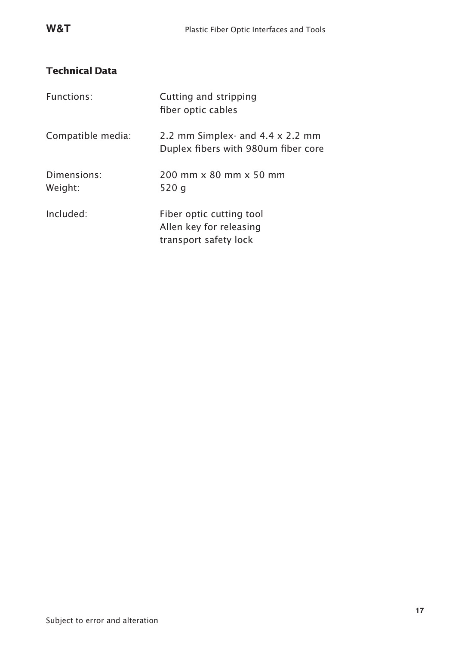# **Technical Data**

| Functions:             | Cutting and stripping<br>fiber optic cables                                    |
|------------------------|--------------------------------------------------------------------------------|
| Compatible media:      | 2.2 mm Simplex- and $4.4 \times 2.2$ mm<br>Duplex fibers with 980um fiber core |
| Dimensions:<br>Weight: | 200 mm x 80 mm x 50 mm<br>520 g                                                |
| Included:              | Fiber optic cutting tool<br>Allen key for releasing<br>transport safety lock   |